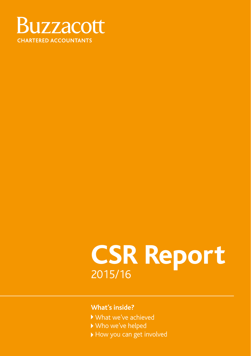

### **CSR Report** 2015/16

#### **What's inside?**

- What we've achieved
- Who we've helped
- How you can get involved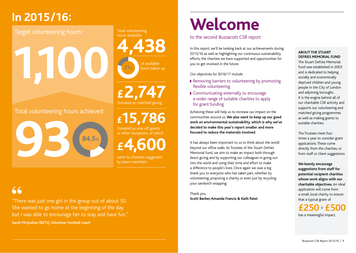### **In 2015/16:**

### Target volunteering hours:

**1,100**

Total volunteering hours achieved:



**4,438** hours available:

Total volunteering

of available hours taken up **21%**

**£2,747** Donated as matched giving

## **£15,786**

Donated as one-off grants or other donations, of which

**£4,600**

went to charities suggested by team members

### 66

"There was just one girl in the group out of about 50. She wanted to go home at the beginning of the day but I was able to encourage her to stay and have fun." **Sarah McQuillan (BETS), Volunteer football coach**

## **Welcome**

#### to the second Buzzacott CSR report

In this report, we'll be looking back at our achievements during 2015/16 as well as highlighting our continuous sustainability efforts, the charities we have supported and opportunities for you to get involved in the future.

Our objectives for 2016/17 include:

- ▶ Removing barriers to volunteering by promoting flexible volunteering
- Communicating externally to encourage a wider range of suitable charities to apply for grant funding

Achieving these will help us to increase our impact on the communities around us. **We also want to keep up our good work on environmental sustainability, which is why we've decided to make this year's report smaller and more focused to reduce the materials involved.**

It has always been important to us to think about the world beyond our office walls. As Trustees of the Stuart Defries Memorial Fund, we aim to make an impact both through direct giving and by supporting our colleagues in going out into the world and using their time and effort to make a difference to people's lives. Once again we owe a big thank you to everyone who has taken part, whether by volunteering, proposing a charity or even just by recycling your sandwich wrapping.

Thank you, **Scott Barber, Amanda Francis & Kath Patel** 

#### **ABOUT THE STUART DEFRIES MEMORIAL FUND**

The Stuart Defries Memorial Fund was established in 2003 and is dedicated to helping socially and economically deprived children and young people in the City of London and adjoining boroughs. It is the engine behind all of our charitable CSR activity and supports our volunteering and matched giving programmes as well as making grants to suitable charities.

The Trustees meet four times a year to consider grant applications. These come directly from the charities, or from staff or client suggestions.

**We keenly encourage suggestions from staff for potential recipient charities whose work aligns with our charitable objectives.** An ideal application will come from a small, local charity to ensure that a typical grant of

**£250 £500** has a meaningful impact.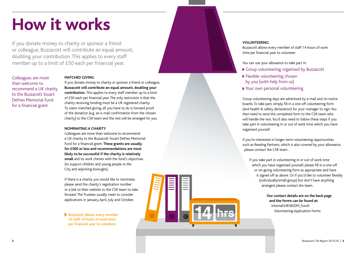## **How it works**

If you donate money to charity or sponsor a friend or colleague, Buzzacott will contribute an equal amount, doubling your contribution. This applies to every staff member up to a limit of £50 each per financial year.

Colleagues are more than welcome to recommend a UK charity to the Buzzacott Stuart Defries Memorial Fund for a financial grant.

#### **MATCHED GIVING**

If you donate money to charity or sponsor a friend or colleague, **Buzzacott will contribute an equal amount, doubling your contribution.** This applies to every staff member up to a limit of £50 each per financial year. The only restriction is that the charity receiving funding must be a UK registered charity. To claim matched giving, all you have to do is forward proof of the donation (e.g. an e-mail confirmation from the chosen charity) to the CSR team and the rest will be arranged for you.

#### **NOMINATING A CHARITY**

Colleagues are more than welcome to recommend a UK charity to the Buzzacott Stuart Defries Memorial Fund for a financial grant. **These grants are usually for £500 or less and recommendations are most likely to be successful if the charity is relatively small** and its work chimes with the fund's objectives (to support children and young people in the City and adjoining boroughs).

If there is a charity you would like to nominate, please send the charity's registration number or a link to their website to the CSR team to take forward. The Trustees usually meet to consider applications in January, April, July and October.

Buzzacott allows every member of staff 14 hours of work time per financial year to volunteer.



#### **VOLUNTEERING**

Buzzacott allows every member of staff 14 hours of work time per financial year to volunteer.

You can use your allowance to take part in:

- Group volunteering organised by Buzzacott
- Flexible volunteering chosen by you (with help from us)
- Your own personal volunteering

Group volunteering days are advertised by e-mail and on notice boards. To take part, simply fill in a one-off volunteering form (and health & safety declaration) for your manager to sign. You then need to send the completed form to the CSR team who will handle the rest. You'll also need to follow these steps if you take part in volunteering in or out of work time which you have organised yourself.

If you're interested in longer-term volunteering opportunities such as Reading Partners, which is also covered by your allowance, please contact the CSR team.

If you take part in volunteering in or out of work time which you have organised yourself, please fill in a one-off or on-going volunteering form as appropriate and have it signed off as above. Or if you'd like to volunteer flexibly (individually/small group) but don't have anything arranged, please contact the team.

> **Our contact details are on the back page and the forms can be found at:**  Internal\HR\BSDM\_Fund\ Volunteering Application Forms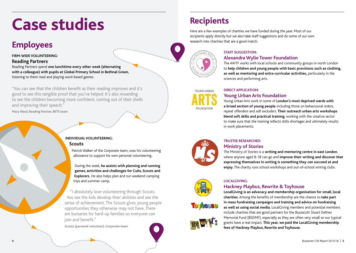## **Case studies**

### **Employees**

#### **FIRM-WIDE VOLUNTEERING:**

#### **Reading Partners**

Reading Partners spend **one lunchtime every other week (alternating with a colleague) with pupils at Global Primary School in Bethnal Green,** listening to them read and playing word-based games.

"You can see that the children benefit as their reading improves and it's good to see this tangible proof that you've helped. It's also rewarding to see the children becoming more confident, coming out of their shells and improving their speech."

**Mary Ward, Reading Partner, BETS team**



Patrick Walker of the Corporate team, uses his volunteering allowance to support his own personal volunteering.

During the week, **he assists with planning and running games, activities and challenges for Cubs, Scouts and Explorers.** He also helps plan and run weekend camping trips and summer camp.

"I absolutely love volunteering through Scouts. You see the kids develop their abilities and see the sense of achievement. The Scouts gives young people opportunities they otherwise may not have. There are bursaries for hard-up families so everyone can join and benefit."

**Scouts (personal volunteer), Corporate team**



### **Recipients**

Here are a few examples of charities we have funded during the year. Most of our recipients apply directly but we also take staff suggestions and do some of our own research into charities that are a good match.



#### **STAFF SUGGESTION:**

#### **Alexandra Wylie Tower Foundation**

The AWTF works with local schools and community groups in north London to **help children and young people with basic provisions such as clothing, as well as mentoring and extra-curricular activities,** particularly in the sciences and performing arts.



#### **DIRECT APPLICATION: Young Urban Arts Foundation**

Young Urban Arts work in some of **London's most deprived wards with a broad section of young people** including those on behavioural orders, repeat offenders and self excluders. **Their outreach urban arts workshops blend soft skills and practical training**, working with the creative sector to make sure that the training reflects skills shortages and ultimately results in work placements.



#### **TRUSTEE RESEARCHED: Ministry of Stories**

The Ministry of Stories is a **writing and mentoring centre in east London**, where anyone aged 8-18 can go and **improve their writing and discover that expressing themselves in writing is something they can succeed at and enjoy.** The charity runs school workshops and out-of-school writing clubs.



#### **LOCALGIVING: Hackney Playbus, Rewrite & Toyhouse**

**LocalGiving is an advocacy and membership organisation for small, local charities.** Among the benefits of membership are the chance to **take part in mass fundraising campaigns and training and advice on fundraising as well as using social media.** LocalGiving members and potential members include charities that are good partners for the Buzzacott Stuart Defries Memorial Fund (BSDMF), especially as they are often very small so our typical grants have a real impact. **This year, we paid the LocalGiving membership fees of Hackney Playbus, Rewrite and Toyhouse.** 

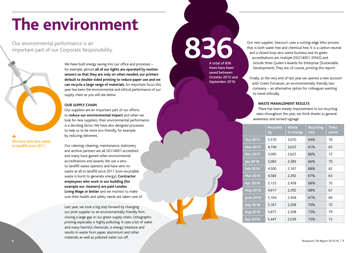## **The environment**

Our environmental performance is an important part of our Corporate Responsibility.



We have built energy saving into our office and processes – for example, almost **all of our lights are operated by motion sensors so that they are only on when needed, our printers default to double-sided printing to reduce paper use and we can recycle a large range of materials.** An important focus this year has been the environmental and ethical performance of our supply chain as you will see below.

#### **OUR SUPPLY CHAIN**

Our suppliers are an important part of our efforts to **reduce our environmental impact** and when we look for new suppliers, their environmental performance is a deciding factor. We have also designed processes to help us to be more eco-friendly, for example by reducing deliveries.

We have sent zero waste to landfill since 2011.

Our catering, cleaning, maintenance, stationery and archive partners are all ISO14001 accredited and many have gained other environmental accreditations and awards. We use a zeroto-landfill waste operator and have sent no waste at all to landfill since 2011 (non-recyclable waste is burnt to generate energy). **Contractor employees who work in our building (for example our cleaners) are paid London Living Wage or better** and we monitor to make sure their health and safety needs are taken care of.

Last year, we took a big step forward by changing our print supplier to an environmentally friendly firm, closing a large gap in our green supply chain. Lithographic printing especially is highly polluting. It uses a lot of water and many harmful chemicals, is energy intensive and results in waste from paper, aluminium and other materials as well as polluted water run off.

A total of 836

trees have been saved between October 2015 and September 2016

Our new supplier, Seacourt, uses a cutting-edge litho process<br>that is both water free and chemical free. It is a carbon neutra<br>and a closed-loop zero waste business and its green that is both water free and chemical free. It is a carbon neutral and a closed-loop zero waste business and its green accreditations are multiple (ISO14001, EMAS) and include three Queen's Awards for Enterprise (Sustainable Development). They are, of course, printing this report!

> Finally, at the very end of last year we opened a new account with Green Tomatoes, an environmentally friendly taxi company – an alternative option for colleagues wanting to travel ethically.

#### **WASTE MANAGEMENT RESULTS**

There has been steady improvement in our recycling rates throughout the year, we think thanks to general awareness and revised signage.

|                  | Recycled<br>kg | <b>Waste</b><br>to energy | <b>Recycling</b><br>rate | <b>Trees</b><br>saved |
|------------------|----------------|---------------------------|--------------------------|-----------------------|
| Oct 2015         | 5,570          | 3,070                     | 64%                      | 76                    |
| <b>Nov 2015</b>  | 4,740          | 3,025                     | 61%                      | 65                    |
| Dec 2015         | 5,095          | 2,625                     | 66%                      | 72                    |
| Jan 2016         | 5,083          | 2,583                     | 66%                      | 70                    |
| Feb 2016         | 4,500          | 2,167                     | 68%                      | 62                    |
| Mar 2016         | 4,583          | 2,292                     | 67%                      | 63                    |
| Apr 2016         | 5,125          | 2,458                     | 68%                      | 70                    |
| May 2016         | 4,917          | 2,292                     | 68%                      | 67                    |
| June 2016        | 5,104          | 2,458                     | 67%                      | 69                    |
| <b>July 2016</b> | 5,167          | 2,208                     | 70%                      | 70                    |
| <b>Aug 2016</b>  | 5,875          | 2,208                     | 73%                      | 79                    |
| Sep 2016         | 5,447          | 2,039                     | 73%                      | 73                    |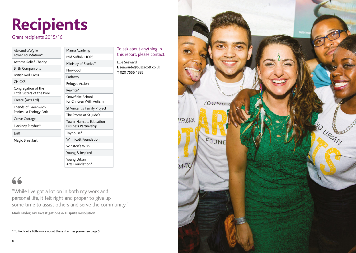# **Recipients**

Grant recipients 2015/16

| Alexandra Wylie                                   | Mama Academy                                                                     |  |  |
|---------------------------------------------------|----------------------------------------------------------------------------------|--|--|
| Tower Foundation*                                 | Mid Suffolk HOPS                                                                 |  |  |
| Asthma Relief Charity                             | Ministry of Stories*                                                             |  |  |
| <b>Birth Companions</b>                           | Norwood                                                                          |  |  |
| <b>British Red Cross</b>                          | Pathway                                                                          |  |  |
| <b>CHICKS</b>                                     | Refugee Action                                                                   |  |  |
| Congregation of the<br>Little Sisters of the Poor | Rewrite*                                                                         |  |  |
| Create (Arts Ltd)                                 | Snowflake School<br>for Children With Autism                                     |  |  |
| Friends of Greenwich<br>Peninsula Ecology Park    | St Vincent's Family Project                                                      |  |  |
|                                                   | The Proms at St Jude's<br><b>Tower Hamlets Education</b><br>Business Partnership |  |  |
| Grove Cottage                                     |                                                                                  |  |  |
| Hackney Playbus*                                  |                                                                                  |  |  |
| JusB                                              | Toyhouse*                                                                        |  |  |
| Magic Breakfast                                   | <b>Winnicott Foundation</b>                                                      |  |  |
|                                                   | Winston's Wish<br>Young & Inspired                                               |  |  |
|                                                   |                                                                                  |  |  |
|                                                   | Young Urban<br>Arts Foundation*                                                  |  |  |

To ask about anything in

**E** seawarde@buzzacott.co.uk

Ellie Seaward

**T** 020 7556 1385

### 66

"While I've got a lot on in both my work and personal life, it felt right and proper to give up some time to assist others and serve the community." **Mark Taylor, Tax Investigations & Dispute Resolution**

\* To find out a little more about these charities please see page 5.